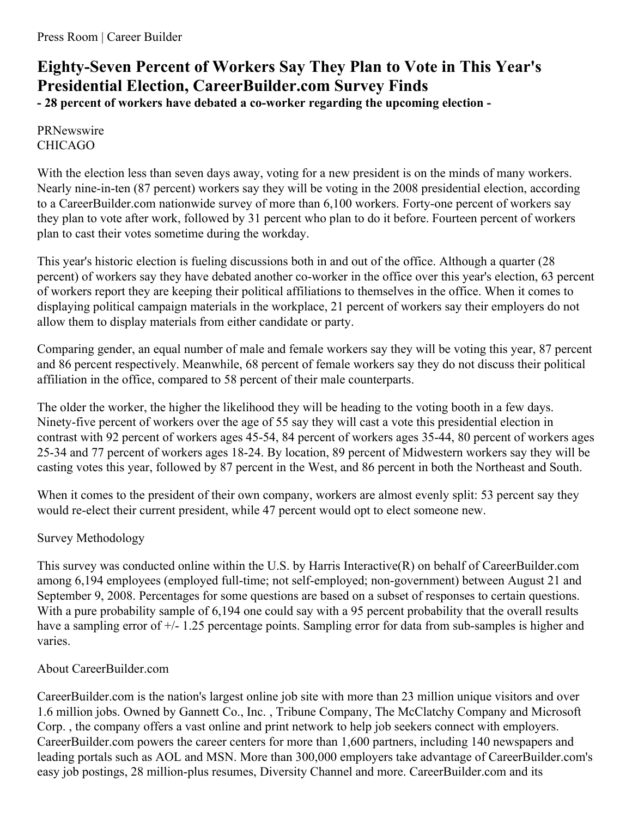## **Eighty-Seven Percent of Workers Say They Plan to Vote in This Year's Presidential Election, CareerBuilder.com Survey Finds**

**- 28 percent of workers have debated a co-worker regarding the upcoming election -**

## PRNewswire CHICAGO

With the election less than seven days away, voting for a new president is on the minds of many workers. Nearly nine-in-ten (87 percent) workers say they will be voting in the 2008 presidential election, according to a CareerBuilder.com nationwide survey of more than 6,100 workers. Forty-one percent of workers say they plan to vote after work, followed by 31 percent who plan to do it before. Fourteen percent of workers plan to cast their votes sometime during the workday.

This year's historic election is fueling discussions both in and out of the office. Although a quarter (28 percent) of workers say they have debated another co-worker in the office over this year's election, 63 percent of workers report they are keeping their political affiliations to themselves in the office. When it comes to displaying political campaign materials in the workplace, 21 percent of workers say their employers do not allow them to display materials from either candidate or party.

Comparing gender, an equal number of male and female workers say they will be voting this year, 87 percent and 86 percent respectively. Meanwhile, 68 percent of female workers say they do not discuss their political affiliation in the office, compared to 58 percent of their male counterparts.

The older the worker, the higher the likelihood they will be heading to the voting booth in a few days. Ninety-five percent of workers over the age of 55 say they will cast a vote this presidential election in contrast with 92 percent of workers ages 45-54, 84 percent of workers ages 35-44, 80 percent of workers ages 25-34 and 77 percent of workers ages 18-24. By location, 89 percent of Midwestern workers say they will be casting votes this year, followed by 87 percent in the West, and 86 percent in both the Northeast and South.

When it comes to the president of their own company, workers are almost evenly split: 53 percent say they would re-elect their current president, while 47 percent would opt to elect someone new.

## Survey Methodology

This survey was conducted online within the U.S. by Harris Interactive(R) on behalf of CareerBuilder.com among 6,194 employees (employed full-time; not self-employed; non-government) between August 21 and September 9, 2008. Percentages for some questions are based on a subset of responses to certain questions. With a pure probability sample of 6,194 one could say with a 95 percent probability that the overall results have a sampling error of  $+/- 1.25$  percentage points. Sampling error for data from sub-samples is higher and varies.

## About CareerBuilder.com

CareerBuilder.com is the nation's largest online job site with more than 23 million unique visitors and over 1.6 million jobs. Owned by Gannett Co., Inc. , Tribune Company, The McClatchy Company and Microsoft Corp. , the company offers a vast online and print network to help job seekers connect with employers. CareerBuilder.com powers the career centers for more than 1,600 partners, including 140 newspapers and leading portals such as AOL and MSN. More than 300,000 employers take advantage of CareerBuilder.com's easy job postings, 28 million-plus resumes, Diversity Channel and more. CareerBuilder.com and its